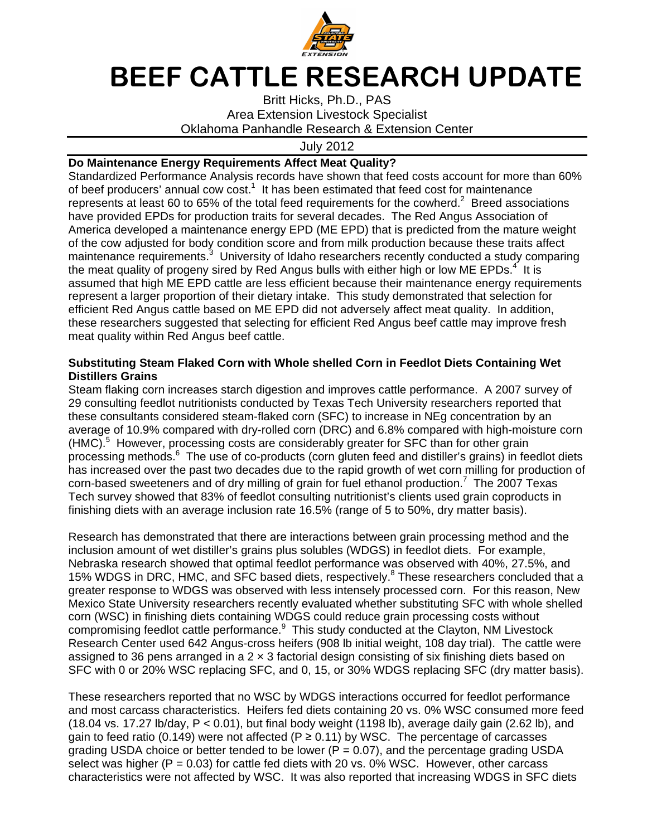

## BEEF CATTLE RESEARCH UPDATE

Britt Hicks, Ph.D., PAS Area Extension Livestock Specialist Oklahoma Panhandle Research & Extension Center

July 2012

## **Do Maintenance Energy Requirements Affect Meat Quality?**

Standardized Performance Analysis records have shown that feed costs account for more than 60% of beef producers' annual cow cost.<sup>1</sup> It has been estimated that feed cost for maintenance represents at least 60 to 65% of the total feed requirements for the cowherd.<sup>2</sup> Breed associations have provided EPDs for production traits for several decades. The Red Angus Association of America developed a maintenance energy EPD (ME EPD) that is predicted from the mature weight of the cow adjusted for body condition score and from milk production because these traits affect maintenance requirements.<sup>3</sup> University of Idaho researchers recently conducted a study comparing the meat quality of progeny sired by Red Angus bulls with either high or low ME EPDs.<sup>4</sup> It is assumed that high ME EPD cattle are less efficient because their maintenance energy requirements represent a larger proportion of their dietary intake. This study demonstrated that selection for efficient Red Angus cattle based on ME EPD did not adversely affect meat quality. In addition, these researchers suggested that selecting for efficient Red Angus beef cattle may improve fresh meat quality within Red Angus beef cattle.

## **Substituting Steam Flaked Corn with Whole shelled Corn in Feedlot Diets Containing Wet Distillers Grains**

Steam flaking corn increases starch digestion and improves cattle performance. A 2007 survey of 29 consulting feedlot nutritionists conducted by Texas Tech University researchers reported that these consultants considered steam-flaked corn (SFC) to increase in NEg concentration by an average of 10.9% compared with dry-rolled corn (DRC) and 6.8% compared with high-moisture corn (HMC).<sup>5</sup> However, processing costs are considerably greater for SFC than for other grain processing methods.<sup>6</sup> The use of co-products (corn gluten feed and distiller's grains) in feedlot diets has increased over the past two decades due to the rapid growth of wet corn milling for production of corn-based sweeteners and of dry milling of grain for fuel ethanol production.<sup>7</sup> The 2007 Texas Tech survey showed that 83% of feedlot consulting nutritionist's clients used grain coproducts in finishing diets with an average inclusion rate 16.5% (range of 5 to 50%, dry matter basis).

Research has demonstrated that there are interactions between grain processing method and the inclusion amount of wet distiller's grains plus solubles (WDGS) in feedlot diets. For example, Nebraska research showed that optimal feedlot performance was observed with 40%, 27.5%, and 15% WDGS in DRC, HMC, and SFC based diets, respectively.<sup>8</sup> These researchers concluded that a greater response to WDGS was observed with less intensely processed corn. For this reason, New Mexico State University researchers recently evaluated whether substituting SFC with whole shelled corn (WSC) in finishing diets containing WDGS could reduce grain processing costs without compromising feedlot cattle performance.<sup>9</sup> This study conducted at the Clayton, NM Livestock Research Center used 642 Angus-cross heifers (908 lb initial weight, 108 day trial). The cattle were assigned to 36 pens arranged in a  $2 \times 3$  factorial design consisting of six finishing diets based on SFC with 0 or 20% WSC replacing SFC, and 0, 15, or 30% WDGS replacing SFC (dry matter basis).

These researchers reported that no WSC by WDGS interactions occurred for feedlot performance and most carcass characteristics. Heifers fed diets containing 20 vs. 0% WSC consumed more feed (18.04 vs. 17.27 lb/day,  $P < 0.01$ ), but final body weight (1198 lb), average daily gain (2.62 lb), and gain to feed ratio (0.149) were not affected ( $P \ge 0.11$ ) by WSC. The percentage of carcasses grading USDA choice or better tended to be lower ( $P = 0.07$ ), and the percentage grading USDA select was higher ( $P = 0.03$ ) for cattle fed diets with 20 vs. 0% WSC. However, other carcass characteristics were not affected by WSC. It was also reported that increasing WDGS in SFC diets